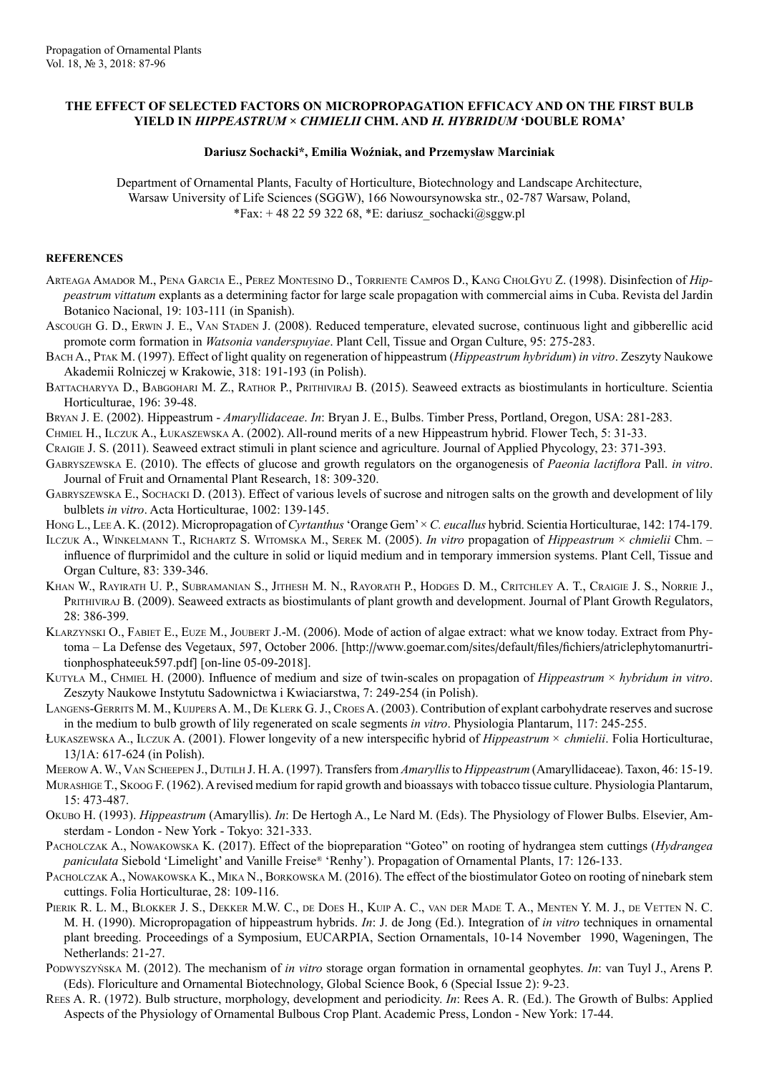## **THE EFFECT OF SELECTED FACTORS ON MICROPROPAGATION EFFICACY AND ON THE FIRST BULB YIELD IN** *HIPPEASTRUM* **×** *CHMIELII* **CHM. AND** *H. HYBRIDUM* **'DOUBLE ROMA'**

## **Dariusz Sochacki\*, Emilia Woźniak, and Przemysław Marciniak**

Department of Ornamental Plants, Faculty of Horticulture, Biotechnology and Landscape Architecture, Warsaw University of Life Sciences (SGGW), 166 Nowoursynowska str., 02-787 Warsaw, Poland, \*Fax:  $+ 48225932268$ , \*E: dariusz\_sochacki@sggw.pl

## **REFERENCES**

- Arteaga Amador M., Pena Garcia E., Perez Montesino D., Torriente Campos D., Kang CholGyu Z. (1998). Disinfection of *Hippeastrum vittatum* explants as a determining factor for large scale propagation with commercial aims in Cuba. Revista del Jardin Botanico Nacional, 19: 103-111 (in Spanish).
- Ascough G. D., ERWIN J. E., VAN STADEN J. (2008). Reduced temperature, elevated sucrose, continuous light and gibberellic acid promote corm formation in *Watsonia vanderspuyiae*. Plant Cell, Tissue and Organ Culture, 95: 275-283.
- Bach A., Ptak M. (1997). Effect of light quality on regeneration of hippeastrum (*Hippeastrum hybridum*) *in vitro*. Zeszyty Naukowe Akademii Rolniczej w Krakowie, 318: 191-193 (in Polish).

BATTACHARYYA D., BABGOHARI M. Z., RATHOR P., PRITHIVIRAJ B. (2015). Seaweed extracts as biostimulants in horticulture. Scientia Horticulturae, 196: 39-48.

Bryan J. E. (2002). Hippeastrum - *Amaryllidaceae*. *In*: Bryan J. E., Bulbs. Timber Press, Portland, Oregon, USA: 281-283.

Chmiel H., Ilczuk A., Łukaszewska A. (2002). All-round merits of a new Hippeastrum hybrid. Flower Tech, 5: 31-33.

Craigie J. S. (2011). Seaweed extract stimuli in plant science and agriculture. Journal of Applied Phycology, 23: 371-393.

- Gabryszewska E. (2010). The effects of glucose and growth regulators on the organogenesis of *Paeonia lactiflora* Pall. *in vitro*. Journal of Fruit and Ornamental Plant Research, 18: 309-320.
- Gabryszewska E., Sochacki D. (2013). Effect of various levels of sucrose and nitrogen salts on the growth and development of lily bulblets *in vitro*. Acta Horticulturae, 1002: 139-145.
- Hong L., LeeA. K. (2012). Micropropagation of *Cyrtanthus* 'Orange Gem' × *C. eucallus* hybrid. Scientia Horticulturae, 142: 174-179.
- Ilczuk A., Winkelmann T., Richartz S. Witomska M., Serek M. (2005). *In vitro* propagation of *Hippeastrum* × *chmielii* Chm. influence of flurprimidol and the culture in solid or liquid medium and in temporary immersion systems. Plant Cell, Tissue and Organ Culture, 83: 339-346.
- Khan W., Rayirath U. P., Subramanian S., Jithesh M. N., Rayorath P., Hodges D. M., Critchley A. T., Craigie J. S., Norrie J., PRITHIVIRAJ B. (2009). Seaweed extracts as biostimulants of plant growth and development. Journal of Plant Growth Regulators, 28: 386-399.
- Klarzynski O., Fabiet E., Euze M., Joubert J.-M. (2006). Mode of action of algae extract: what we know today. Extract from Phytoma – La Defense des Vegetaux, 597, October 2006. [http://www.goemar.com/sites/default/files/fichiers/atriclephytomanurtritionphosphateeuk597.pdf] [on-line 05-09-2018].
- Kutyła M., Chmiel H. (2000). Influence of medium and size of twin-scales on propagation of *Hippeastrum* × *hybridum in vitro*. Zeszyty Naukowe Instytutu Sadownictwa i Kwiaciarstwa, 7: 249-254 (in Polish).
- Langens-Gerrits M. M., Kuijpers A. M., De Klerk G. J., Croes A. (2003). Contribution of explant carbohydrate reserves and sucrose in the medium to bulb growth of lily regenerated on scale segments *in vitro*. Physiologia Plantarum, 117: 245-255.
- Łukaszewska A., Ilczuk A. (2001). Flower longevity of a new interspecific hybrid of *Hippeastrum × chmielii*. Folia Horticulturae, 13/1A: 617-624 (in Polish).

Meerow A. W., Van Scheepen J., Dutilh J. H. A. (1997). Transfers from *Amaryllis* to *Hippeastrum* (Amaryllidaceae). Taxon, 46: 15-19.

- Murashige T., Skoog F. (1962). A revised medium for rapid growth and bioassays with tobacco tissue culture. Physiologia Plantarum, 15: 473-487.
- Okubo H. (1993). *Hippeastrum* (Amaryllis). *In*: De Hertogh A., Le Nard M. (Eds). The Physiology of Flower Bulbs. Elsevier, Amsterdam - London - New York - Tokyo: 321-333.
- Pacholczak A., Nowakowska K. (2017). Effect of the biopreparation "Goteo" on rooting of hydrangea stem cuttings (*Hydrangea paniculata* Siebold 'Limelight' and Vanille Freise® 'Renhy'). Propagation of Ornamental Plants, 17: 126-133.
- PACHOLCZAK A., NOWAKOWSKA K., MIKA N., BORKOWSKA M. (2016). The effect of the biostimulator Goteo on rooting of ninebark stem cuttings. Folia Horticulturae, 28: 109-116.
- PIERIK R. L. M., BLOKKER J. S., DEKKER M.W. C., DE DOES H., KUIP A. C., VAN DER MADE T. A., MENTEN Y. M. J., DE VETTEN N. C. M. H. (1990). Micropropagation of hippeastrum hybrids. *In*: J. de Jong (Ed.). Integration of *in vitro* techniques in ornamental plant breeding. Proceedings of a Symposium, EUCARPIA, Section Ornamentals, 10-14 November 1990, Wageningen, The Netherlands: 21-27.
- Podwyszyńska M. (2012). The mechanism of *in vitro* storage organ formation in ornamental geophytes. *In*: van Tuyl J., Arens P. (Eds). Floriculture and Ornamental Biotechnology, Global Science Book, 6 (Special Issue 2): 9-23.
- Rees A. R. (1972). Bulb structure, morphology, development and periodicity. *In*: Rees A. R. (Ed.). The Growth of Bulbs: Applied Aspects of the Physiology of Ornamental Bulbous Crop Plant. Academic Press, London - New York: 17-44.